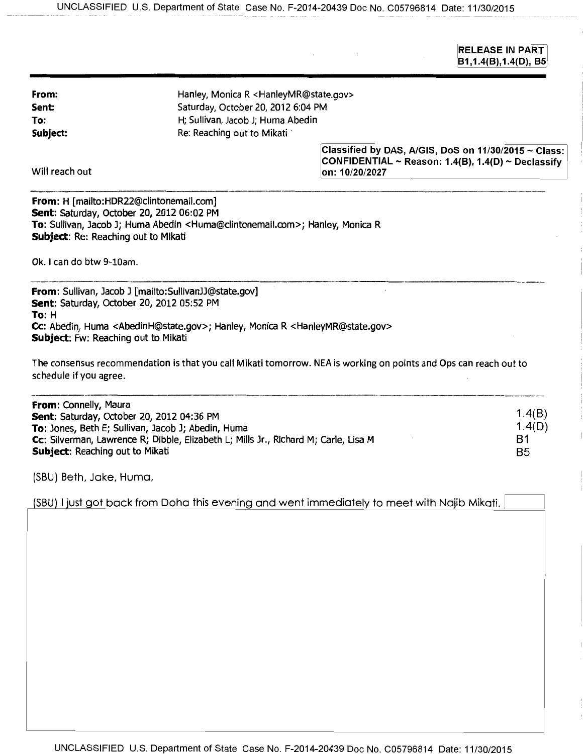$\bar{z}$ 

 $\sim 10$ 

RELEASE IN PART  $|B1, 1.4(B), 1.4(D), B5|$ 

Ť

 $\frac{1}{2}$ 

 $\mathbf{I}$ 

| From:<br>Sent:<br>To:<br>Subject:                                                                                                                                                                                                                  | Hanley, Monica R <hanleymr@state.gov><br/>Saturday, October 20, 2012 6:04 PM<br/>H; Sullivan, Jacob J; Huma Abedin<br/>Re: Reaching out to Mikati</hanleymr@state.gov> |                                                                                                                                   |                                       |
|----------------------------------------------------------------------------------------------------------------------------------------------------------------------------------------------------------------------------------------------------|------------------------------------------------------------------------------------------------------------------------------------------------------------------------|-----------------------------------------------------------------------------------------------------------------------------------|---------------------------------------|
| Will reach out                                                                                                                                                                                                                                     |                                                                                                                                                                        | Classified by DAS, A/GIS, DoS on 11/30/2015 $\sim$ Class:<br>CONFIDENTIAL ~ Reason: 1.4(B), 1.4(D) ~ Declassify<br>on: 10/20/2027 |                                       |
| From: H [mailto:HDR22@clintonemail.com]<br>Sent: Saturday, October 20, 2012 06:02 PM<br>Subject: Re: Reaching out to Mikati<br>Ok. I can do btw 9-10am.                                                                                            | To: Sullivan, Jacob J; Huma Abedin <huma@clintonemail.com>; Hanley, Monica R</huma@clintonemail.com>                                                                   |                                                                                                                                   |                                       |
| From: Sullivan, Jacob J [mailto:SullivanJJ@state.gov]<br>Sent: Saturday, October 20, 2012 05:52 PM<br>To: H<br>Subject: Fw: Reaching out to Mikati                                                                                                 | Cc: Abedin, Huma <abedinh@state.gov>; Hanley, Monica R <hanleymr@state.gov></hanleymr@state.gov></abedinh@state.gov>                                                   | The consensus recommendation is that you call Mikati tomorrow. NEA is working on points and Ops can reach out to                  |                                       |
| schedule if you agree.                                                                                                                                                                                                                             |                                                                                                                                                                        |                                                                                                                                   |                                       |
| From: Connelly, Maura<br>Sent: Saturday, October 20, 2012 04:36 PM<br>To: Jones, Beth E; Sullivan, Jacob J; Abedin, Huma<br>Cc: Silverman, Lawrence R; Dibble, Elizabeth L; Mills Jr., Richard M; Carle, Lisa M<br>Subject: Reaching out to Mikati |                                                                                                                                                                        |                                                                                                                                   | 1.4(B)                                |
|                                                                                                                                                                                                                                                    |                                                                                                                                                                        |                                                                                                                                   | 1.4(D)<br><b>B1</b><br>B <sub>5</sub> |
| (SBU) Beth, Jake, Huma,                                                                                                                                                                                                                            |                                                                                                                                                                        |                                                                                                                                   |                                       |
|                                                                                                                                                                                                                                                    |                                                                                                                                                                        | (SBU) I just got back from Doha this evening and went immediately to meet with Najib Mikati.                                      |                                       |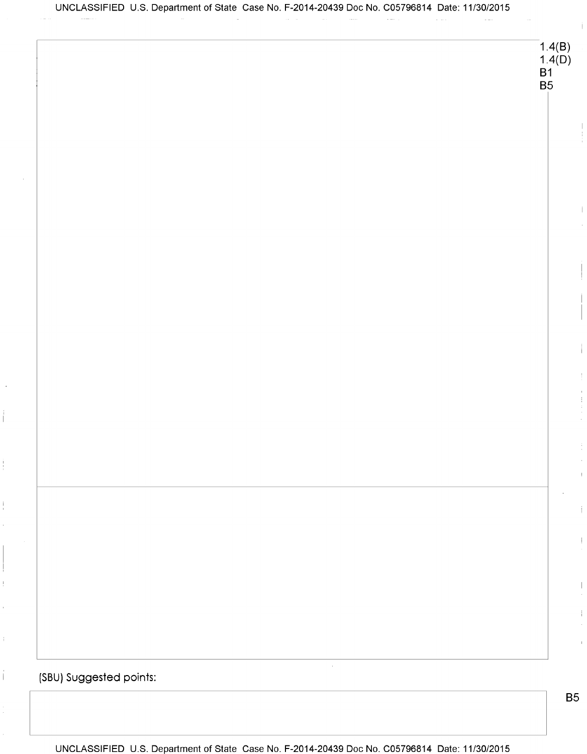$1.4(B)$ 1.4 $(D)$ **B1 B5**  $\bar{\gamma}$ (SBU) Suggested points:

÷,

 $\frac{1}{4}$ 

 $\ddot{\mathrm{t}}$ 

 $\hat{\mathbf{I}}$ 

UNCLASSIFIED U.S. Department of State Case No. F-2014-20439 Doc No. C05796814 Date: 11/30/2015

**B5**